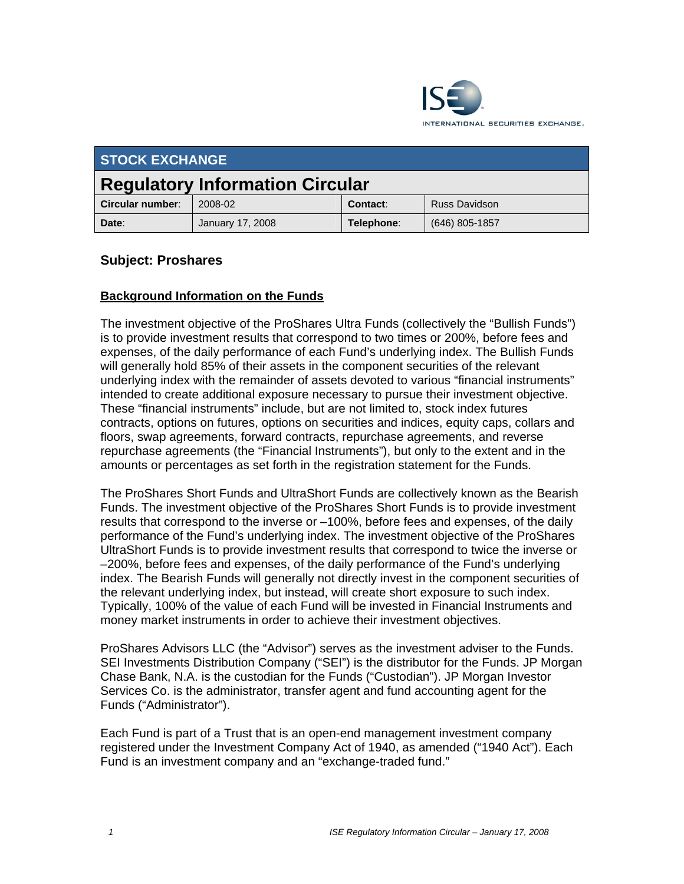

| <b>STOCK EXCHANGE</b>                  |                         |            |                      |  |  |
|----------------------------------------|-------------------------|------------|----------------------|--|--|
| <b>Regulatory Information Circular</b> |                         |            |                      |  |  |
| Circular number:                       | 2008-02                 | Contact:   | <b>Russ Davidson</b> |  |  |
| Date:                                  | <b>January 17, 2008</b> | Telephone: | $(646)$ 805-1857     |  |  |

# **Subject: Proshares**

## **Background Information on the Funds**

The investment objective of the ProShares Ultra Funds (collectively the "Bullish Funds") is to provide investment results that correspond to two times or 200%, before fees and expenses, of the daily performance of each Fund's underlying index. The Bullish Funds will generally hold 85% of their assets in the component securities of the relevant underlying index with the remainder of assets devoted to various "financial instruments" intended to create additional exposure necessary to pursue their investment objective. These "financial instruments" include, but are not limited to, stock index futures contracts, options on futures, options on securities and indices, equity caps, collars and floors, swap agreements, forward contracts, repurchase agreements, and reverse repurchase agreements (the "Financial Instruments"), but only to the extent and in the amounts or percentages as set forth in the registration statement for the Funds.

The ProShares Short Funds and UltraShort Funds are collectively known as the Bearish Funds. The investment objective of the ProShares Short Funds is to provide investment results that correspond to the inverse or –100%, before fees and expenses, of the daily performance of the Fund's underlying index. The investment objective of the ProShares UltraShort Funds is to provide investment results that correspond to twice the inverse or –200%, before fees and expenses, of the daily performance of the Fund's underlying index. The Bearish Funds will generally not directly invest in the component securities of the relevant underlying index, but instead, will create short exposure to such index. Typically, 100% of the value of each Fund will be invested in Financial Instruments and money market instruments in order to achieve their investment objectives.

ProShares Advisors LLC (the "Advisor") serves as the investment adviser to the Funds. SEI Investments Distribution Company ("SEI") is the distributor for the Funds. JP Morgan Chase Bank, N.A. is the custodian for the Funds ("Custodian"). JP Morgan Investor Services Co. is the administrator, transfer agent and fund accounting agent for the Funds ("Administrator").

Each Fund is part of a Trust that is an open-end management investment company registered under the Investment Company Act of 1940, as amended ("1940 Act"). Each Fund is an investment company and an "exchange-traded fund."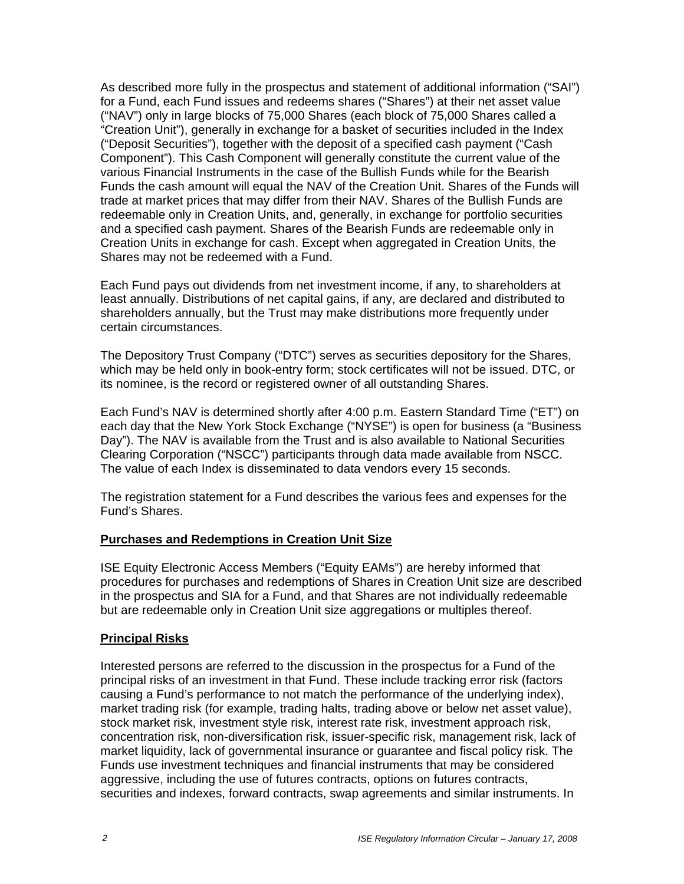As described more fully in the prospectus and statement of additional information ("SAI") for a Fund, each Fund issues and redeems shares ("Shares") at their net asset value ("NAV") only in large blocks of 75,000 Shares (each block of 75,000 Shares called a "Creation Unit"), generally in exchange for a basket of securities included in the Index ("Deposit Securities"), together with the deposit of a specified cash payment ("Cash Component"). This Cash Component will generally constitute the current value of the various Financial Instruments in the case of the Bullish Funds while for the Bearish Funds the cash amount will equal the NAV of the Creation Unit. Shares of the Funds will trade at market prices that may differ from their NAV. Shares of the Bullish Funds are redeemable only in Creation Units, and, generally, in exchange for portfolio securities and a specified cash payment. Shares of the Bearish Funds are redeemable only in Creation Units in exchange for cash. Except when aggregated in Creation Units, the Shares may not be redeemed with a Fund.

Each Fund pays out dividends from net investment income, if any, to shareholders at least annually. Distributions of net capital gains, if any, are declared and distributed to shareholders annually, but the Trust may make distributions more frequently under certain circumstances.

The Depository Trust Company ("DTC") serves as securities depository for the Shares, which may be held only in book-entry form; stock certificates will not be issued. DTC, or its nominee, is the record or registered owner of all outstanding Shares.

Each Fund's NAV is determined shortly after 4:00 p.m. Eastern Standard Time ("ET") on each day that the New York Stock Exchange ("NYSE") is open for business (a "Business Day"). The NAV is available from the Trust and is also available to National Securities Clearing Corporation ("NSCC") participants through data made available from NSCC. The value of each Index is disseminated to data vendors every 15 seconds.

The registration statement for a Fund describes the various fees and expenses for the Fund's Shares.

### **Purchases and Redemptions in Creation Unit Size**

ISE Equity Electronic Access Members ("Equity EAMs") are hereby informed that procedures for purchases and redemptions of Shares in Creation Unit size are described in the prospectus and SIA for a Fund, and that Shares are not individually redeemable but are redeemable only in Creation Unit size aggregations or multiples thereof.

# **Principal Risks**

Interested persons are referred to the discussion in the prospectus for a Fund of the principal risks of an investment in that Fund. These include tracking error risk (factors causing a Fund's performance to not match the performance of the underlying index), market trading risk (for example, trading halts, trading above or below net asset value), stock market risk, investment style risk, interest rate risk, investment approach risk, concentration risk, non-diversification risk, issuer-specific risk, management risk, lack of market liquidity, lack of governmental insurance or guarantee and fiscal policy risk. The Funds use investment techniques and financial instruments that may be considered aggressive, including the use of futures contracts, options on futures contracts, securities and indexes, forward contracts, swap agreements and similar instruments. In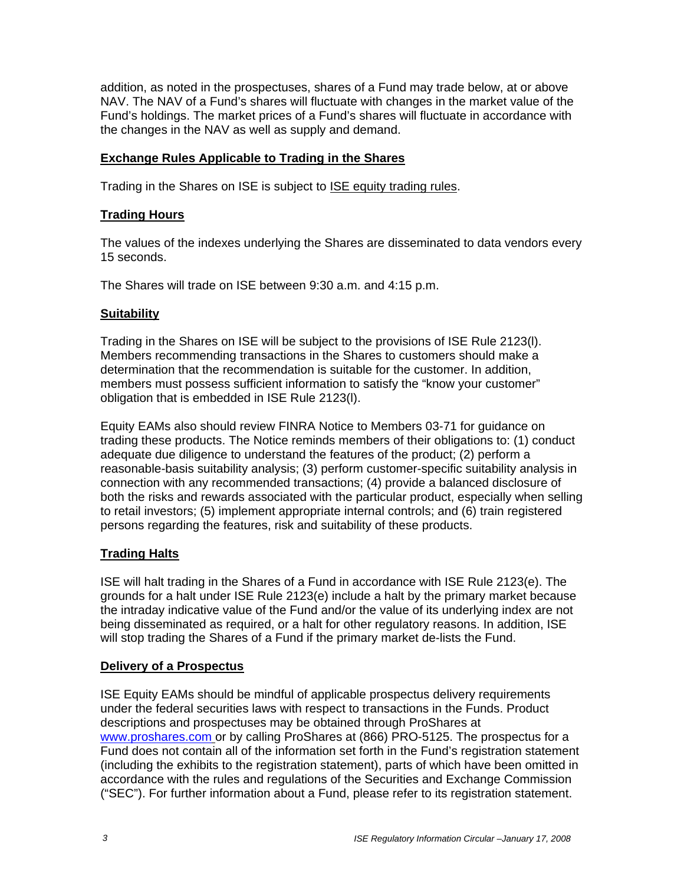addition, as noted in the prospectuses, shares of a Fund may trade below, at or above NAV. The NAV of a Fund's shares will fluctuate with changes in the market value of the Fund's holdings. The market prices of a Fund's shares will fluctuate in accordance with the changes in the NAV as well as supply and demand.

### **Exchange Rules Applicable to Trading in the Shares**

Trading in the Shares on ISE is subject to ISE equity trading rules.

## **Trading Hours**

The values of the indexes underlying the Shares are disseminated to data vendors every 15 seconds.

The Shares will trade on ISE between 9:30 a.m. and 4:15 p.m.

### **Suitability**

Trading in the Shares on ISE will be subject to the provisions of ISE Rule 2123(l). Members recommending transactions in the Shares to customers should make a determination that the recommendation is suitable for the customer. In addition, members must possess sufficient information to satisfy the "know your customer" obligation that is embedded in ISE Rule 2123(l).

Equity EAMs also should review FINRA Notice to Members 03-71 for guidance on trading these products. The Notice reminds members of their obligations to: (1) conduct adequate due diligence to understand the features of the product; (2) perform a reasonable-basis suitability analysis; (3) perform customer-specific suitability analysis in connection with any recommended transactions; (4) provide a balanced disclosure of both the risks and rewards associated with the particular product, especially when selling to retail investors; (5) implement appropriate internal controls; and (6) train registered persons regarding the features, risk and suitability of these products.

### **Trading Halts**

ISE will halt trading in the Shares of a Fund in accordance with ISE Rule 2123(e). The grounds for a halt under ISE Rule 2123(e) include a halt by the primary market because the intraday indicative value of the Fund and/or the value of its underlying index are not being disseminated as required, or a halt for other regulatory reasons. In addition, ISE will stop trading the Shares of a Fund if the primary market de-lists the Fund.

### **Delivery of a Prospectus**

ISE Equity EAMs should be mindful of applicable prospectus delivery requirements under the federal securities laws with respect to transactions in the Funds. Product descriptions and prospectuses may be obtained through ProShares at www.proshares.com or by calling ProShares at (866) PRO-5125. The prospectus for a Fund does not contain all of the information set forth in the Fund's registration statement (including the exhibits to the registration statement), parts of which have been omitted in accordance with the rules and regulations of the Securities and Exchange Commission ("SEC"). For further information about a Fund, please refer to its registration statement.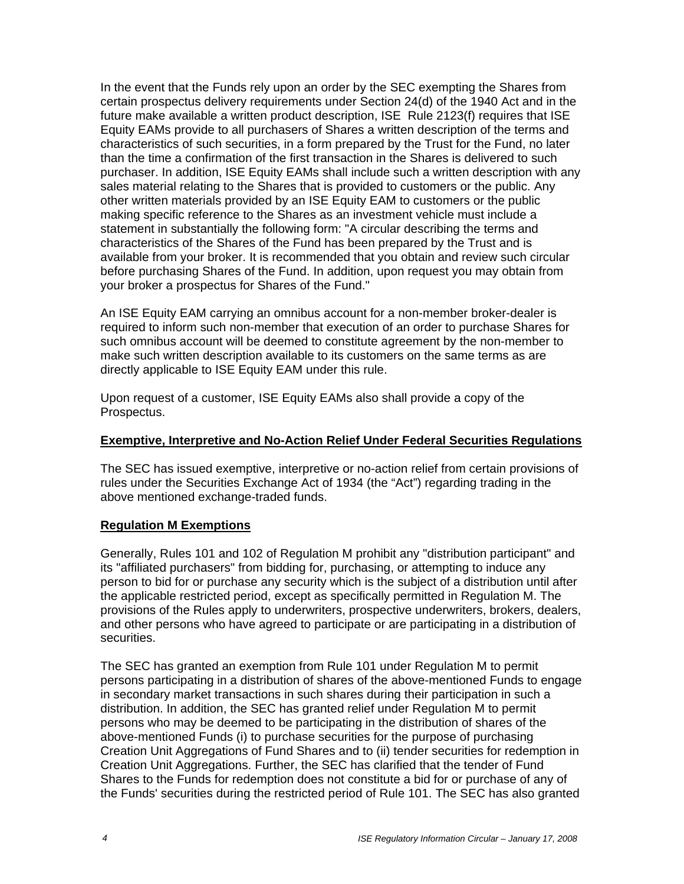In the event that the Funds rely upon an order by the SEC exempting the Shares from certain prospectus delivery requirements under Section 24(d) of the 1940 Act and in the future make available a written product description, ISE Rule 2123(f) requires that ISE Equity EAMs provide to all purchasers of Shares a written description of the terms and characteristics of such securities, in a form prepared by the Trust for the Fund, no later than the time a confirmation of the first transaction in the Shares is delivered to such purchaser. In addition, ISE Equity EAMs shall include such a written description with any sales material relating to the Shares that is provided to customers or the public. Any other written materials provided by an ISE Equity EAM to customers or the public making specific reference to the Shares as an investment vehicle must include a statement in substantially the following form: "A circular describing the terms and characteristics of the Shares of the Fund has been prepared by the Trust and is available from your broker. It is recommended that you obtain and review such circular before purchasing Shares of the Fund. In addition, upon request you may obtain from your broker a prospectus for Shares of the Fund."

An ISE Equity EAM carrying an omnibus account for a non-member broker-dealer is required to inform such non-member that execution of an order to purchase Shares for such omnibus account will be deemed to constitute agreement by the non-member to make such written description available to its customers on the same terms as are directly applicable to ISE Equity EAM under this rule.

Upon request of a customer, ISE Equity EAMs also shall provide a copy of the Prospectus.

### **Exemptive, Interpretive and No-Action Relief Under Federal Securities Regulations**

The SEC has issued exemptive, interpretive or no-action relief from certain provisions of rules under the Securities Exchange Act of 1934 (the "Act") regarding trading in the above mentioned exchange-traded funds.

### **Regulation M Exemptions**

Generally, Rules 101 and 102 of Regulation M prohibit any "distribution participant" and its "affiliated purchasers" from bidding for, purchasing, or attempting to induce any person to bid for or purchase any security which is the subject of a distribution until after the applicable restricted period, except as specifically permitted in Regulation M. The provisions of the Rules apply to underwriters, prospective underwriters, brokers, dealers, and other persons who have agreed to participate or are participating in a distribution of securities.

The SEC has granted an exemption from Rule 101 under Regulation M to permit persons participating in a distribution of shares of the above-mentioned Funds to engage in secondary market transactions in such shares during their participation in such a distribution. In addition, the SEC has granted relief under Regulation M to permit persons who may be deemed to be participating in the distribution of shares of the above-mentioned Funds (i) to purchase securities for the purpose of purchasing Creation Unit Aggregations of Fund Shares and to (ii) tender securities for redemption in Creation Unit Aggregations. Further, the SEC has clarified that the tender of Fund Shares to the Funds for redemption does not constitute a bid for or purchase of any of the Funds' securities during the restricted period of Rule 101. The SEC has also granted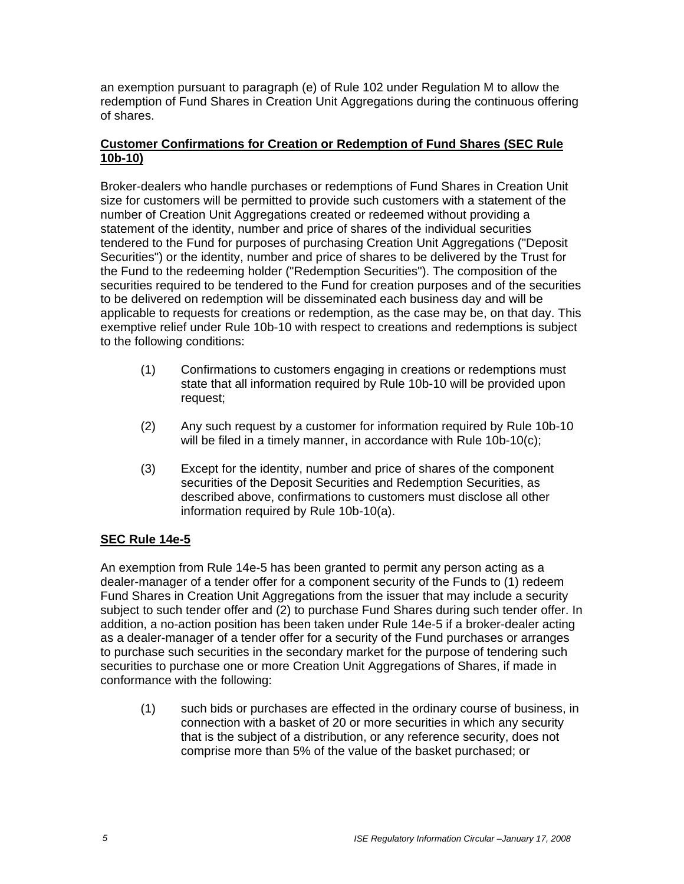an exemption pursuant to paragraph (e) of Rule 102 under Regulation M to allow the redemption of Fund Shares in Creation Unit Aggregations during the continuous offering of shares.

## **Customer Confirmations for Creation or Redemption of Fund Shares (SEC Rule 10b-10)**

Broker-dealers who handle purchases or redemptions of Fund Shares in Creation Unit size for customers will be permitted to provide such customers with a statement of the number of Creation Unit Aggregations created or redeemed without providing a statement of the identity, number and price of shares of the individual securities tendered to the Fund for purposes of purchasing Creation Unit Aggregations ("Deposit Securities") or the identity, number and price of shares to be delivered by the Trust for the Fund to the redeeming holder ("Redemption Securities"). The composition of the securities required to be tendered to the Fund for creation purposes and of the securities to be delivered on redemption will be disseminated each business day and will be applicable to requests for creations or redemption, as the case may be, on that day. This exemptive relief under Rule 10b-10 with respect to creations and redemptions is subject to the following conditions:

- (1) Confirmations to customers engaging in creations or redemptions must state that all information required by Rule 10b-10 will be provided upon request;
- (2) Any such request by a customer for information required by Rule 10b-10 will be filed in a timely manner, in accordance with Rule 10b-10(c);
- (3) Except for the identity, number and price of shares of the component securities of the Deposit Securities and Redemption Securities, as described above, confirmations to customers must disclose all other information required by Rule 10b-10(a).

# **SEC Rule 14e-5**

An exemption from Rule 14e-5 has been granted to permit any person acting as a dealer-manager of a tender offer for a component security of the Funds to (1) redeem Fund Shares in Creation Unit Aggregations from the issuer that may include a security subject to such tender offer and (2) to purchase Fund Shares during such tender offer. In addition, a no-action position has been taken under Rule 14e-5 if a broker-dealer acting as a dealer-manager of a tender offer for a security of the Fund purchases or arranges to purchase such securities in the secondary market for the purpose of tendering such securities to purchase one or more Creation Unit Aggregations of Shares, if made in conformance with the following:

(1) such bids or purchases are effected in the ordinary course of business, in connection with a basket of 20 or more securities in which any security that is the subject of a distribution, or any reference security, does not comprise more than 5% of the value of the basket purchased; or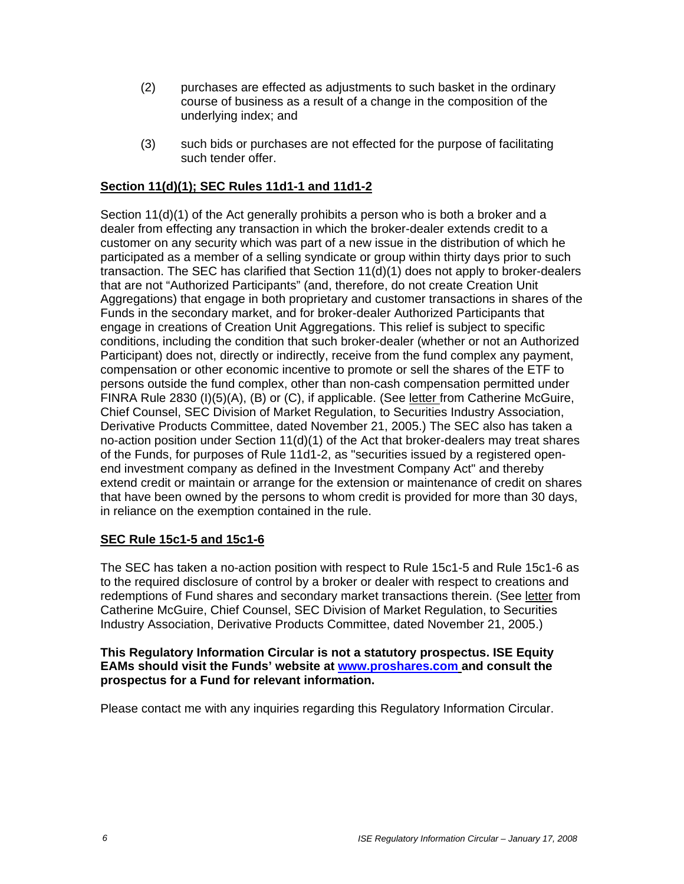- (2) purchases are effected as adjustments to such basket in the ordinary course of business as a result of a change in the composition of the underlying index; and
- (3) such bids or purchases are not effected for the purpose of facilitating such tender offer.

## **Section 11(d)(1); SEC Rules 11d1-1 and 11d1-2**

Section 11(d)(1) of the Act generally prohibits a person who is both a broker and a dealer from effecting any transaction in which the broker-dealer extends credit to a customer on any security which was part of a new issue in the distribution of which he participated as a member of a selling syndicate or group within thirty days prior to such transaction. The SEC has clarified that Section 11(d)(1) does not apply to broker-dealers that are not "Authorized Participants" (and, therefore, do not create Creation Unit Aggregations) that engage in both proprietary and customer transactions in shares of the Funds in the secondary market, and for broker-dealer Authorized Participants that engage in creations of Creation Unit Aggregations. This relief is subject to specific conditions, including the condition that such broker-dealer (whether or not an Authorized Participant) does not, directly or indirectly, receive from the fund complex any payment, compensation or other economic incentive to promote or sell the shares of the ETF to persons outside the fund complex, other than non-cash compensation permitted under FINRA Rule 2830 (I)(5)(A), (B) or (C), if applicable. (See letter from Catherine McGuire, Chief Counsel, SEC Division of Market Regulation, to Securities Industry Association, Derivative Products Committee, dated November 21, 2005.) The SEC also has taken a no-action position under Section 11(d)(1) of the Act that broker-dealers may treat shares of the Funds, for purposes of Rule 11d1-2, as "securities issued by a registered openend investment company as defined in the Investment Company Act" and thereby extend credit or maintain or arrange for the extension or maintenance of credit on shares that have been owned by the persons to whom credit is provided for more than 30 days, in reliance on the exemption contained in the rule.

#### **SEC Rule 15c1-5 and 15c1-6**

The SEC has taken a no-action position with respect to Rule 15c1-5 and Rule 15c1-6 as to the required disclosure of control by a broker or dealer with respect to creations and redemptions of Fund shares and secondary market transactions therein. (See letter from Catherine McGuire, Chief Counsel, SEC Division of Market Regulation, to Securities Industry Association, Derivative Products Committee, dated November 21, 2005.)

#### **This Regulatory Information Circular is not a statutory prospectus. ISE Equity EAMs should visit the Funds' website at www.proshares.com and consult the prospectus for a Fund for relevant information.**

Please contact me with any inquiries regarding this Regulatory Information Circular.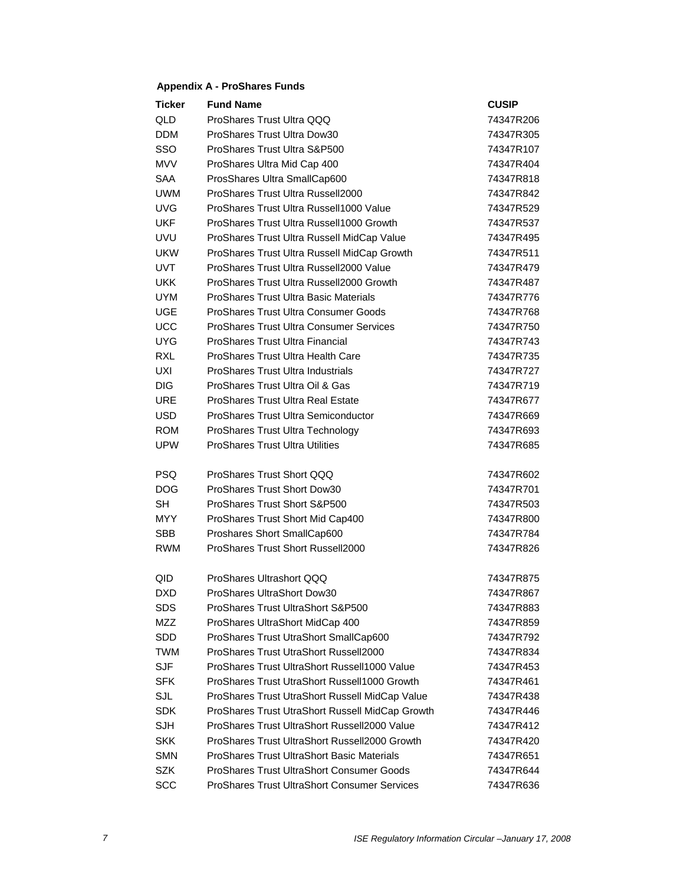#### **Appendix A - ProShares Funds**

| <b>Ticker</b> | <b>Fund Name</b>                                  | <b>CUSIP</b> |
|---------------|---------------------------------------------------|--------------|
| QLD           | ProShares Trust Ultra QQQ                         | 74347R206    |
| <b>DDM</b>    | ProShares Trust Ultra Dow30                       | 74347R305    |
| SSO           | ProShares Trust Ultra S&P500                      | 74347R107    |
| <b>MVV</b>    | ProShares Ultra Mid Cap 400                       | 74347R404    |
| <b>SAA</b>    | ProsShares Ultra SmallCap600                      | 74347R818    |
| <b>UWM</b>    | ProShares Trust Ultra Russell2000                 | 74347R842    |
| <b>UVG</b>    | ProShares Trust Ultra Russell1000 Value           | 74347R529    |
| <b>UKF</b>    | ProShares Trust Ultra Russell1000 Growth          | 74347R537    |
| <b>UVU</b>    | ProShares Trust Ultra Russell MidCap Value        | 74347R495    |
| <b>UKW</b>    | ProShares Trust Ultra Russell MidCap Growth       | 74347R511    |
| <b>UVT</b>    | ProShares Trust Ultra Russell2000 Value           | 74347R479    |
| <b>UKK</b>    | ProShares Trust Ultra Russell2000 Growth          | 74347R487    |
| <b>UYM</b>    | <b>ProShares Trust Ultra Basic Materials</b>      | 74347R776    |
| <b>UGE</b>    | ProShares Trust Ultra Consumer Goods              | 74347R768    |
| <b>UCC</b>    | <b>ProShares Trust Ultra Consumer Services</b>    | 74347R750    |
| <b>UYG</b>    | ProShares Trust Ultra Financial                   | 74347R743    |
| <b>RXL</b>    | ProShares Trust Ultra Health Care                 | 74347R735    |
| <b>UXI</b>    | <b>ProShares Trust Ultra Industrials</b>          | 74347R727    |
| <b>DIG</b>    | ProShares Trust Ultra Oil & Gas                   | 74347R719    |
| <b>URE</b>    | <b>ProShares Trust Ultra Real Estate</b>          | 74347R677    |
| <b>USD</b>    | ProShares Trust Ultra Semiconductor               | 74347R669    |
| <b>ROM</b>    | ProShares Trust Ultra Technology                  | 74347R693    |
| <b>UPW</b>    | <b>ProShares Trust Ultra Utilities</b>            | 74347R685    |
|               |                                                   |              |
| <b>PSQ</b>    | ProShares Trust Short QQQ                         | 74347R602    |
| <b>DOG</b>    | ProShares Trust Short Dow30                       | 74347R701    |
| <b>SH</b>     | ProShares Trust Short S&P500                      | 74347R503    |
| MYY.          | ProShares Trust Short Mid Cap400                  | 74347R800    |
| <b>SBB</b>    | Proshares Short SmallCap600                       | 74347R784    |
| <b>RWM</b>    | ProShares Trust Short Russell2000                 | 74347R826    |
| QID           | ProShares Ultrashort QQQ                          | 74347R875    |
| DXD           | ProShares UltraShort Dow30                        | 74347R867    |
| SDS           | ProShares Trust UltraShort S&P500                 | 74347R883    |
| <b>MZZ</b>    | ProShares UltraShort MidCap 400                   | 74347R859    |
| SDD           | ProShares Trust UtraShort SmallCap600             | 74347R792    |
| <b>TWM</b>    | ProShares Trust UtraShort Russell2000             | 74347R834    |
| <b>SJF</b>    | ProShares Trust UltraShort Russell1000 Value      | 74347R453    |
| <b>SFK</b>    | ProShares Trust UtraShort Russell1000 Growth      | 74347R461    |
| SJL           | ProShares Trust UtraShort Russell MidCap Value    | 74347R438    |
| <b>SDK</b>    | ProShares Trust UtraShort Russell MidCap Growth   | 74347R446    |
| <b>SJH</b>    | ProShares Trust UltraShort Russell2000 Value      | 74347R412    |
| <b>SKK</b>    | ProShares Trust UltraShort Russell2000 Growth     | 74347R420    |
| <b>SMN</b>    | <b>ProShares Trust UltraShort Basic Materials</b> | 74347R651    |
| <b>SZK</b>    | <b>ProShares Trust UltraShort Consumer Goods</b>  | 74347R644    |
| <b>SCC</b>    | ProShares Trust UltraShort Consumer Services      | 74347R636    |